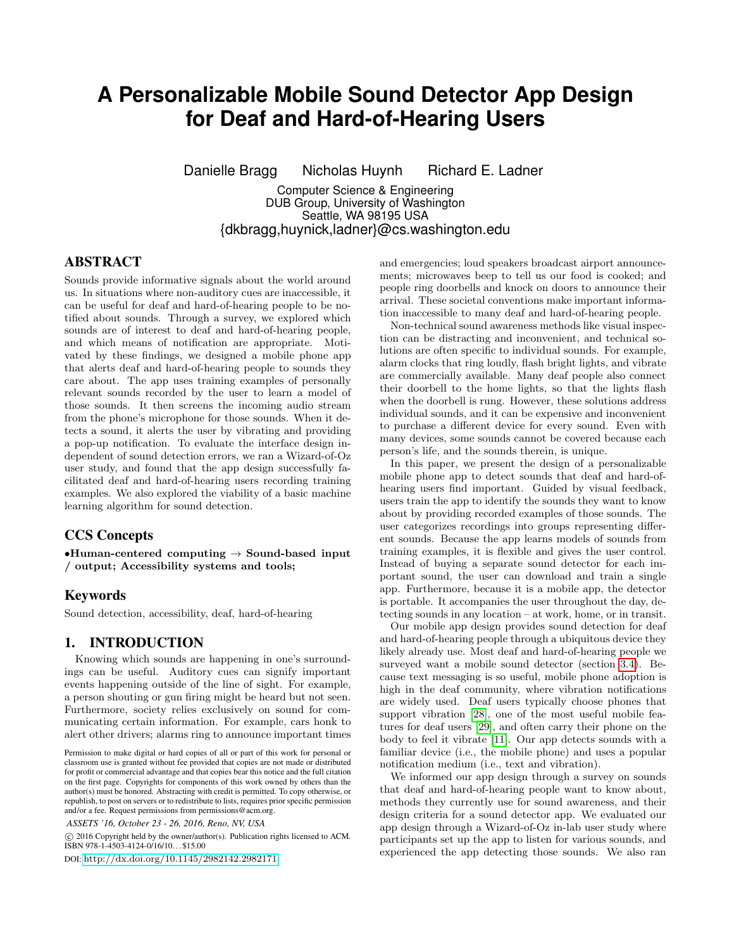# **A Personalizable Mobile Sound Detector App Design for Deaf and Hard-of-Hearing Users**

Danielle Bragg Nicholas Huynh Richard E. Ladner

Computer Science & Engineering DUB Group, University of Washington Seattle, WA 98195 USA {dkbragg,huynick,ladner}@cs.washington.edu

# ABSTRACT

Sounds provide informative signals about the world around us. In situations where non-auditory cues are inaccessible, it can be useful for deaf and hard-of-hearing people to be notified about sounds. Through a survey, we explored which sounds are of interest to deaf and hard-of-hearing people, and which means of notification are appropriate. Motivated by these findings, we designed a mobile phone app that alerts deaf and hard-of-hearing people to sounds they care about. The app uses training examples of personally relevant sounds recorded by the user to learn a model of those sounds. It then screens the incoming audio stream from the phone's microphone for those sounds. When it detects a sound, it alerts the user by vibrating and providing a pop-up notification. To evaluate the interface design independent of sound detection errors, we ran a Wizard-of-Oz user study, and found that the app design successfully facilitated deaf and hard-of-hearing users recording training examples. We also explored the viability of a basic machine learning algorithm for sound detection.

# CCS Concepts

•Human-centered computing  $\rightarrow$  Sound-based input / output; Accessibility systems and tools;

# **Keywords**

Sound detection, accessibility, deaf, hard-of-hearing

# 1. INTRODUCTION

Knowing which sounds are happening in one's surroundings can be useful. Auditory cues can signify important events happening outside of the line of sight. For example, a person shouting or gun firing might be heard but not seen. Furthermore, society relies exclusively on sound for communicating certain information. For example, cars honk to alert other drivers; alarms ring to announce important times

*ASSETS '16, October 23 - 26, 2016, Reno, NV, USA* 

© 2016 Copyright held by the owner/author(s). Publication rights licensed to ACM. cISBN 978-1-4503-4124-0/16/10. . . \$15.00

DOI: <http://dx.doi.org/10.1145/2982142.2982171>

and emergencies; loud speakers broadcast airport announcements; microwaves beep to tell us our food is cooked; and people ring doorbells and knock on doors to announce their arrival. These societal conventions make important information inaccessible to many deaf and hard-of-hearing people.

Non-technical sound awareness methods like visual inspection can be distracting and inconvenient, and technical solutions are often specific to individual sounds. For example, alarm clocks that ring loudly, flash bright lights, and vibrate are commercially available. Many deaf people also connect their doorbell to the home lights, so that the lights flash when the doorbell is rung. However, these solutions address individual sounds, and it can be expensive and inconvenient to purchase a different device for every sound. Even with many devices, some sounds cannot be covered because each person's life, and the sounds therein, is unique.

In this paper, we present the design of a personalizable mobile phone app to detect sounds that deaf and hard-ofhearing users find important. Guided by visual feedback, users train the app to identify the sounds they want to know about by providing recorded examples of those sounds. The user categorizes recordings into groups representing different sounds. Because the app learns models of sounds from training examples, it is flexible and gives the user control. Instead of buying a separate sound detector for each important sound, the user can download and train a single app. Furthermore, because it is a mobile app, the detector is portable. It accompanies the user throughout the day, detecting sounds in any location – at work, home, or in transit.

Our mobile app design provides sound detection for deaf and hard-of-hearing people through a ubiquitous device they likely already use. Most deaf and hard-of-hearing people we surveyed want a mobile sound detector (section [3.4\)](#page-3-0). Because text messaging is so useful, mobile phone adoption is high in the deaf community, where vibration notifications are widely used. Deaf users typically choose phones that support vibration [\[28\]](#page-8-0), one of the most useful mobile features for deaf users [\[29\]](#page-8-1), and often carry their phone on the body to feel it vibrate [\[11\]](#page-8-2). Our app detects sounds with a familiar device (i.e., the mobile phone) and uses a popular notification medium (i.e., text and vibration).

We informed our app design through a survey on sounds that deaf and hard-of-hearing people want to know about, methods they currently use for sound awareness, and their design criteria for a sound detector app. We evaluated our app design through a Wizard-of-Oz in-lab user study where participants set up the app to listen for various sounds, and experienced the app detecting those sounds. We also ran

Permission to make digital or hard copies of all or part of this work for personal or classroom use is granted without fee provided that copies are not made or distributed for profit or commercial advantage and that copies bear this notice and the full citation on the first page. Copyrights for components of this work owned by others than the author(s) must be honored. Abstracting with credit is permitted. To copy otherwise, or republish, to post on servers or to redistribute to lists, requires prior specific permission and/or a fee. Request permissions from permissions@acm.org.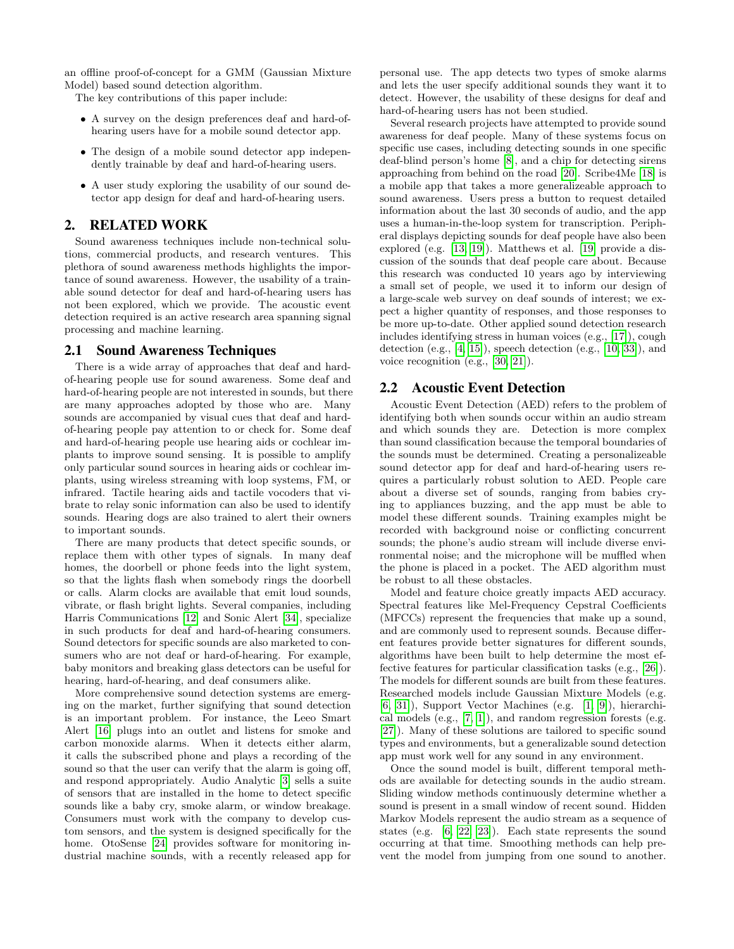an offline proof-of-concept for a GMM (Gaussian Mixture Model) based sound detection algorithm.

The key contributions of this paper include:

- A survey on the design preferences deaf and hard-ofhearing users have for a mobile sound detector app.
- The design of a mobile sound detector app independently trainable by deaf and hard-of-hearing users.
- A user study exploring the usability of our sound detector app design for deaf and hard-of-hearing users.

# 2. RELATED WORK

Sound awareness techniques include non-technical solutions, commercial products, and research ventures. This plethora of sound awareness methods highlights the importance of sound awareness. However, the usability of a trainable sound detector for deaf and hard-of-hearing users has not been explored, which we provide. The acoustic event detection required is an active research area spanning signal processing and machine learning.

### 2.1 Sound Awareness Techniques

There is a wide array of approaches that deaf and hardof-hearing people use for sound awareness. Some deaf and hard-of-hearing people are not interested in sounds, but there are many approaches adopted by those who are. Many sounds are accompanied by visual cues that deaf and hardof-hearing people pay attention to or check for. Some deaf and hard-of-hearing people use hearing aids or cochlear implants to improve sound sensing. It is possible to amplify only particular sound sources in hearing aids or cochlear implants, using wireless streaming with loop systems, FM, or infrared. Tactile hearing aids and tactile vocoders that vibrate to relay sonic information can also be used to identify sounds. Hearing dogs are also trained to alert their owners to important sounds.

There are many products that detect specific sounds, or replace them with other types of signals. In many deaf homes, the doorbell or phone feeds into the light system, so that the lights flash when somebody rings the doorbell or calls. Alarm clocks are available that emit loud sounds, vibrate, or flash bright lights. Several companies, including Harris Communications [\[12\]](#page-8-3) and Sonic Alert [\[34\]](#page-8-4), specialize in such products for deaf and hard-of-hearing consumers. Sound detectors for specific sounds are also marketed to consumers who are not deaf or hard-of-hearing. For example, baby monitors and breaking glass detectors can be useful for hearing, hard-of-hearing, and deaf consumers alike.

More comprehensive sound detection systems are emerging on the market, further signifying that sound detection is an important problem. For instance, the Leeo Smart Alert [\[16\]](#page-8-5) plugs into an outlet and listens for smoke and carbon monoxide alarms. When it detects either alarm, it calls the subscribed phone and plays a recording of the sound so that the user can verify that the alarm is going off, and respond appropriately. Audio Analytic [\[3\]](#page-8-6) sells a suite of sensors that are installed in the home to detect specific sounds like a baby cry, smoke alarm, or window breakage. Consumers must work with the company to develop custom sensors, and the system is designed specifically for the home. OtoSense [\[24\]](#page-8-7) provides software for monitoring industrial machine sounds, with a recently released app for personal use. The app detects two types of smoke alarms and lets the user specify additional sounds they want it to detect. However, the usability of these designs for deaf and hard-of-hearing users has not been studied.

Several research projects have attempted to provide sound awareness for deaf people. Many of these systems focus on specific use cases, including detecting sounds in one specific deaf-blind person's home [\[8\]](#page-8-8), and a chip for detecting sirens approaching from behind on the road [\[20\]](#page-8-9). Scribe4Me [\[18\]](#page-8-10) is a mobile app that takes a more generalizeable approach to sound awareness. Users press a button to request detailed information about the last 30 seconds of audio, and the app uses a human-in-the-loop system for transcription. Peripheral displays depicting sounds for deaf people have also been explored (e.g. [\[13,](#page-8-11) [19\]](#page-8-12)). Matthews et al. [\[19\]](#page-8-12) provide a discussion of the sounds that deaf people care about. Because this research was conducted 10 years ago by interviewing a small set of people, we used it to inform our design of a large-scale web survey on deaf sounds of interest; we expect a higher quantity of responses, and those responses to be more up-to-date. Other applied sound detection research includes identifying stress in human voices (e.g., [\[17\]](#page-8-13)), cough detection (e.g., [\[4,](#page-8-14) [15\]](#page-8-15)), speech detection (e.g., [\[10,](#page-8-16) [33\]](#page-8-17)), and voice recognition (e.g., [\[30,](#page-8-18) [21\]](#page-8-19)).

# 2.2 Acoustic Event Detection

Acoustic Event Detection (AED) refers to the problem of identifying both when sounds occur within an audio stream and which sounds they are. Detection is more complex than sound classification because the temporal boundaries of the sounds must be determined. Creating a personalizeable sound detector app for deaf and hard-of-hearing users requires a particularly robust solution to AED. People care about a diverse set of sounds, ranging from babies crying to appliances buzzing, and the app must be able to model these different sounds. Training examples might be recorded with background noise or conflicting concurrent sounds; the phone's audio stream will include diverse environmental noise; and the microphone will be muffled when the phone is placed in a pocket. The AED algorithm must be robust to all these obstacles.

Model and feature choice greatly impacts AED accuracy. Spectral features like Mel-Frequency Cepstral Coefficients (MFCCs) represent the frequencies that make up a sound, and are commonly used to represent sounds. Because different features provide better signatures for different sounds, algorithms have been built to help determine the most effective features for particular classification tasks (e.g., [\[26\]](#page-8-20)). The models for different sounds are built from these features. Researched models include Gaussian Mixture Models (e.g. [\[6,](#page-8-21) [31\]](#page-8-22)), Support Vector Machines (e.g. [\[1,](#page-8-23) [9\]](#page-8-24)), hierarchical models (e.g., [\[7,](#page-8-25) [1\]](#page-8-23)), and random regression forests (e.g. [\[27\]](#page-8-26)). Many of these solutions are tailored to specific sound types and environments, but a generalizable sound detection app must work well for any sound in any environment.

Once the sound model is built, different temporal methods are available for detecting sounds in the audio stream. Sliding window methods continuously determine whether a sound is present in a small window of recent sound. Hidden Markov Models represent the audio stream as a sequence of states (e.g. [\[6,](#page-8-21) [22,](#page-8-27) [23\]](#page-8-28)). Each state represents the sound occurring at that time. Smoothing methods can help prevent the model from jumping from one sound to another.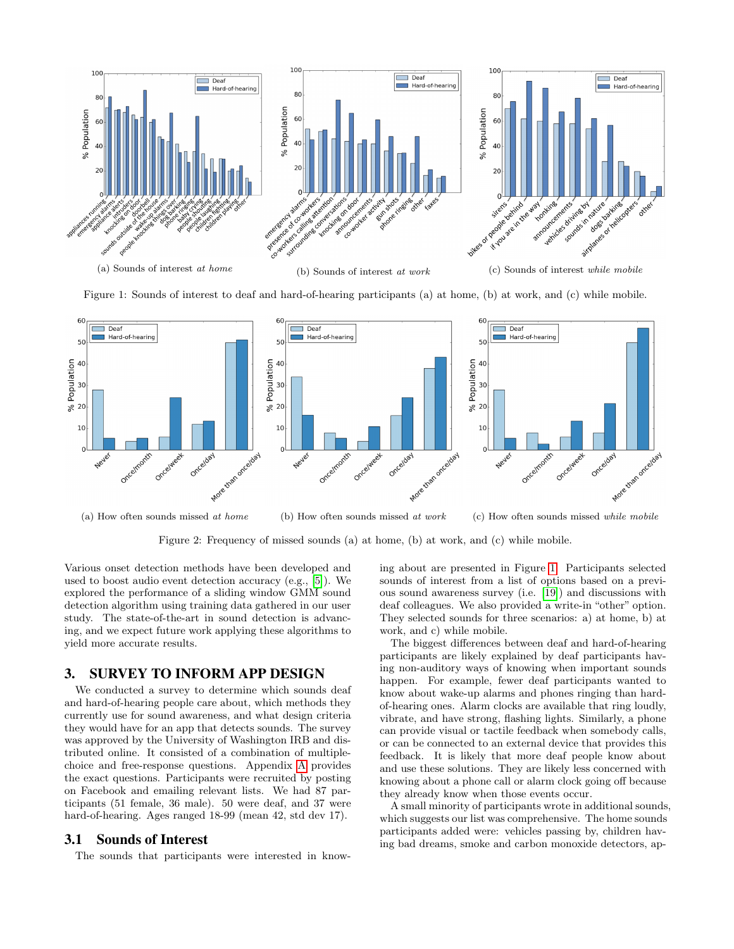<span id="page-2-0"></span>

Figure 1: Sounds of interest to deaf and hard-of-hearing participants (a) at home, (b) at work, and (c) while mobile.

<span id="page-2-1"></span>

Figure 2: Frequency of missed sounds (a) at home, (b) at work, and (c) while mobile.

Various onset detection methods have been developed and used to boost audio event detection accuracy (e.g., [\[5\]](#page-8-29)). We explored the performance of a sliding window GMM sound detection algorithm using training data gathered in our user study. The state-of-the-art in sound detection is advancing, and we expect future work applying these algorithms to yield more accurate results.

### 3. SURVEY TO INFORM APP DESIGN

We conducted a survey to determine which sounds deaf and hard-of-hearing people care about, which methods they currently use for sound awareness, and what design criteria they would have for an app that detects sounds. The survey was approved by the University of Washington IRB and distributed online. It consisted of a combination of multiplechoice and free-response questions. Appendix [A](#page-9-0) provides the exact questions. Participants were recruited by posting on Facebook and emailing relevant lists. We had 87 participants (51 female, 36 male). 50 were deaf, and 37 were hard-of-hearing. Ages ranged 18-99 (mean 42, std dev 17).

### 3.1 Sounds of Interest

The sounds that participants were interested in know-

ing about are presented in Figure [1.](#page-2-0) Participants selected sounds of interest from a list of options based on a previous sound awareness survey (i.e. [\[19\]](#page-8-12)) and discussions with deaf colleagues. We also provided a write-in "other" option. They selected sounds for three scenarios: a) at home, b) at work, and c) while mobile.

The biggest differences between deaf and hard-of-hearing participants are likely explained by deaf participants having non-auditory ways of knowing when important sounds happen. For example, fewer deaf participants wanted to know about wake-up alarms and phones ringing than hardof-hearing ones. Alarm clocks are available that ring loudly, vibrate, and have strong, flashing lights. Similarly, a phone can provide visual or tactile feedback when somebody calls, or can be connected to an external device that provides this feedback. It is likely that more deaf people know about and use these solutions. They are likely less concerned with knowing about a phone call or alarm clock going off because they already know when those events occur.

A small minority of participants wrote in additional sounds, which suggests our list was comprehensive. The home sounds participants added were: vehicles passing by, children having bad dreams, smoke and carbon monoxide detectors, ap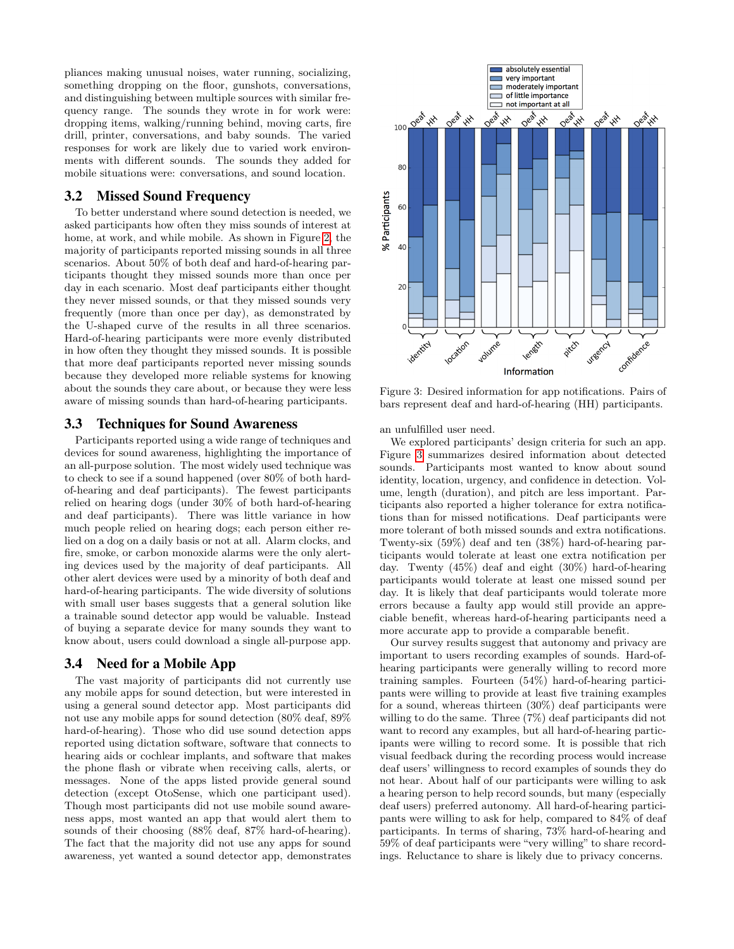pliances making unusual noises, water running, socializing, something dropping on the floor, gunshots, conversations, and distinguishing between multiple sources with similar frequency range. The sounds they wrote in for work were: dropping items, walking/running behind, moving carts, fire drill, printer, conversations, and baby sounds. The varied responses for work are likely due to varied work environments with different sounds. The sounds they added for mobile situations were: conversations, and sound location.

# 3.2 Missed Sound Frequency

To better understand where sound detection is needed, we asked participants how often they miss sounds of interest at home, at work, and while mobile. As shown in Figure [2,](#page-2-1) the majority of participants reported missing sounds in all three scenarios. About 50% of both deaf and hard-of-hearing participants thought they missed sounds more than once per day in each scenario. Most deaf participants either thought they never missed sounds, or that they missed sounds very frequently (more than once per day), as demonstrated by the U-shaped curve of the results in all three scenarios. Hard-of-hearing participants were more evenly distributed in how often they thought they missed sounds. It is possible that more deaf participants reported never missing sounds because they developed more reliable systems for knowing about the sounds they care about, or because they were less aware of missing sounds than hard-of-hearing participants.

#### 3.3 Techniques for Sound Awareness

Participants reported using a wide range of techniques and devices for sound awareness, highlighting the importance of an all-purpose solution. The most widely used technique was to check to see if a sound happened (over 80% of both hardof-hearing and deaf participants). The fewest participants relied on hearing dogs (under 30% of both hard-of-hearing and deaf participants). There was little variance in how much people relied on hearing dogs; each person either relied on a dog on a daily basis or not at all. Alarm clocks, and fire, smoke, or carbon monoxide alarms were the only alerting devices used by the majority of deaf participants. All other alert devices were used by a minority of both deaf and hard-of-hearing participants. The wide diversity of solutions with small user bases suggests that a general solution like a trainable sound detector app would be valuable. Instead of buying a separate device for many sounds they want to know about, users could download a single all-purpose app.

# <span id="page-3-0"></span>3.4 Need for a Mobile App

The vast majority of participants did not currently use any mobile apps for sound detection, but were interested in using a general sound detector app. Most participants did not use any mobile apps for sound detection (80% deaf, 89% hard-of-hearing). Those who did use sound detection apps reported using dictation software, software that connects to hearing aids or cochlear implants, and software that makes the phone flash or vibrate when receiving calls, alerts, or messages. None of the apps listed provide general sound detection (except OtoSense, which one participant used). Though most participants did not use mobile sound awareness apps, most wanted an app that would alert them to sounds of their choosing (88% deaf, 87% hard-of-hearing). The fact that the majority did not use any apps for sound awareness, yet wanted a sound detector app, demonstrates

<span id="page-3-1"></span>

Figure 3: Desired information for app notifications. Pairs of bars represent deaf and hard-of-hearing (HH) participants.

an unfulfilled user need.

We explored participants' design criteria for such an app. Figure [3](#page-3-1) summarizes desired information about detected sounds. Participants most wanted to know about sound identity, location, urgency, and confidence in detection. Volume, length (duration), and pitch are less important. Participants also reported a higher tolerance for extra notifications than for missed notifications. Deaf participants were more tolerant of both missed sounds and extra notifications. Twenty-six (59%) deaf and ten (38%) hard-of-hearing participants would tolerate at least one extra notification per day. Twenty (45%) deaf and eight (30%) hard-of-hearing participants would tolerate at least one missed sound per day. It is likely that deaf participants would tolerate more errors because a faulty app would still provide an appreciable benefit, whereas hard-of-hearing participants need a more accurate app to provide a comparable benefit.

Our survey results suggest that autonomy and privacy are important to users recording examples of sounds. Hard-ofhearing participants were generally willing to record more training samples. Fourteen (54%) hard-of-hearing participants were willing to provide at least five training examples for a sound, whereas thirteen (30%) deaf participants were willing to do the same. Three (7%) deaf participants did not want to record any examples, but all hard-of-hearing participants were willing to record some. It is possible that rich visual feedback during the recording process would increase deaf users' willingness to record examples of sounds they do not hear. About half of our participants were willing to ask a hearing person to help record sounds, but many (especially deaf users) preferred autonomy. All hard-of-hearing participants were willing to ask for help, compared to 84% of deaf participants. In terms of sharing, 73% hard-of-hearing and 59% of deaf participants were "very willing" to share recordings. Reluctance to share is likely due to privacy concerns.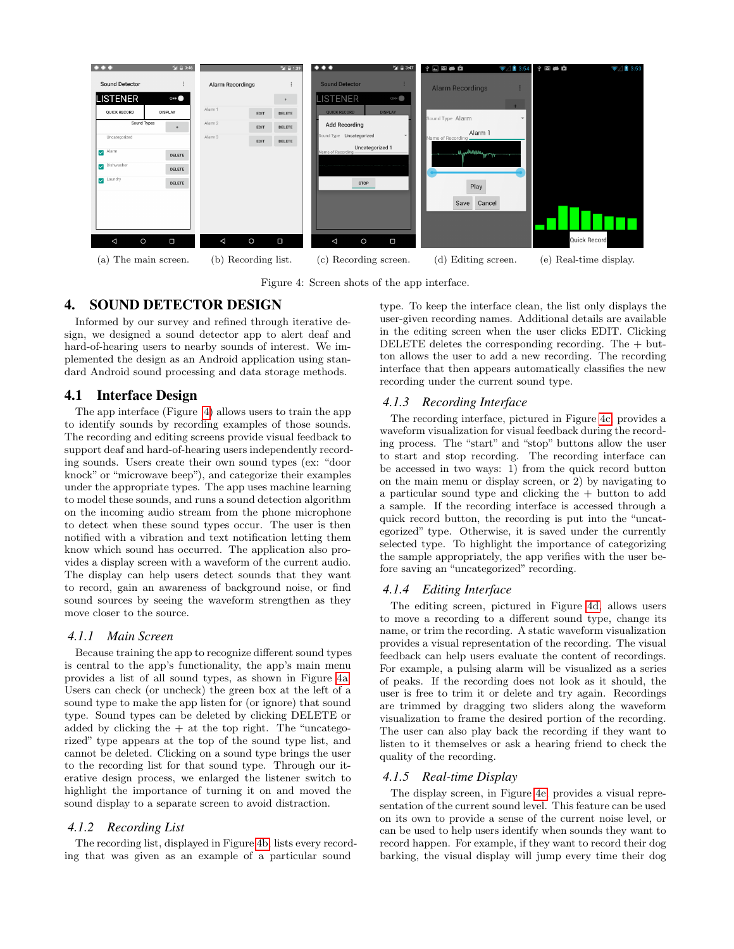<span id="page-4-0"></span>

Figure 4: Screen shots of the app interface.

# 4. SOUND DETECTOR DESIGN

Informed by our survey and refined through iterative design, we designed a sound detector app to alert deaf and hard-of-hearing users to nearby sounds of interest. We implemented the design as an Android application using standard Android sound processing and data storage methods.

# 4.1 Interface Design

The app interface (Figure [4\)](#page-4-0) allows users to train the app to identify sounds by recording examples of those sounds. The recording and editing screens provide visual feedback to support deaf and hard-of-hearing users independently recording sounds. Users create their own sound types (ex: "door knock" or "microwave beep"), and categorize their examples under the appropriate types. The app uses machine learning to model these sounds, and runs a sound detection algorithm on the incoming audio stream from the phone microphone to detect when these sound types occur. The user is then notified with a vibration and text notification letting them know which sound has occurred. The application also provides a display screen with a waveform of the current audio. The display can help users detect sounds that they want to record, gain an awareness of background noise, or find sound sources by seeing the waveform strengthen as they move closer to the source.

#### *4.1.1 Main Screen*

Because training the app to recognize different sound types is central to the app's functionality, the app's main menu provides a list of all sound types, as shown in Figure [4a.](#page-4-0) Users can check (or uncheck) the green box at the left of a sound type to make the app listen for (or ignore) that sound type. Sound types can be deleted by clicking DELETE or added by clicking the  $+$  at the top right. The "uncategorized" type appears at the top of the sound type list, and cannot be deleted. Clicking on a sound type brings the user to the recording list for that sound type. Through our iterative design process, we enlarged the listener switch to highlight the importance of turning it on and moved the sound display to a separate screen to avoid distraction.

#### *4.1.2 Recording List*

The recording list, displayed in Figure [4b,](#page-4-0) lists every recording that was given as an example of a particular sound

type. To keep the interface clean, the list only displays the user-given recording names. Additional details are available in the editing screen when the user clicks EDIT. Clicking DELETE deletes the corresponding recording. The  $+$  button allows the user to add a new recording. The recording interface that then appears automatically classifies the new recording under the current sound type.

#### *4.1.3 Recording Interface*

The recording interface, pictured in Figure [4c,](#page-4-0) provides a waveform visualization for visual feedback during the recording process. The "start" and "stop" buttons allow the user to start and stop recording. The recording interface can be accessed in two ways: 1) from the quick record button on the main menu or display screen, or 2) by navigating to a particular sound type and clicking the + button to add a sample. If the recording interface is accessed through a quick record button, the recording is put into the "uncategorized" type. Otherwise, it is saved under the currently selected type. To highlight the importance of categorizing the sample appropriately, the app verifies with the user before saving an "uncategorized" recording.

#### *4.1.4 Editing Interface*

The editing screen, pictured in Figure [4d,](#page-4-0) allows users to move a recording to a different sound type, change its name, or trim the recording. A static waveform visualization provides a visual representation of the recording. The visual feedback can help users evaluate the content of recordings. For example, a pulsing alarm will be visualized as a series of peaks. If the recording does not look as it should, the user is free to trim it or delete and try again. Recordings are trimmed by dragging two sliders along the waveform visualization to frame the desired portion of the recording. The user can also play back the recording if they want to listen to it themselves or ask a hearing friend to check the quality of the recording.

#### *4.1.5 Real-time Display*

The display screen, in Figure [4e,](#page-4-0) provides a visual representation of the current sound level. This feature can be used on its own to provide a sense of the current noise level, or can be used to help users identify when sounds they want to record happen. For example, if they want to record their dog barking, the visual display will jump every time their dog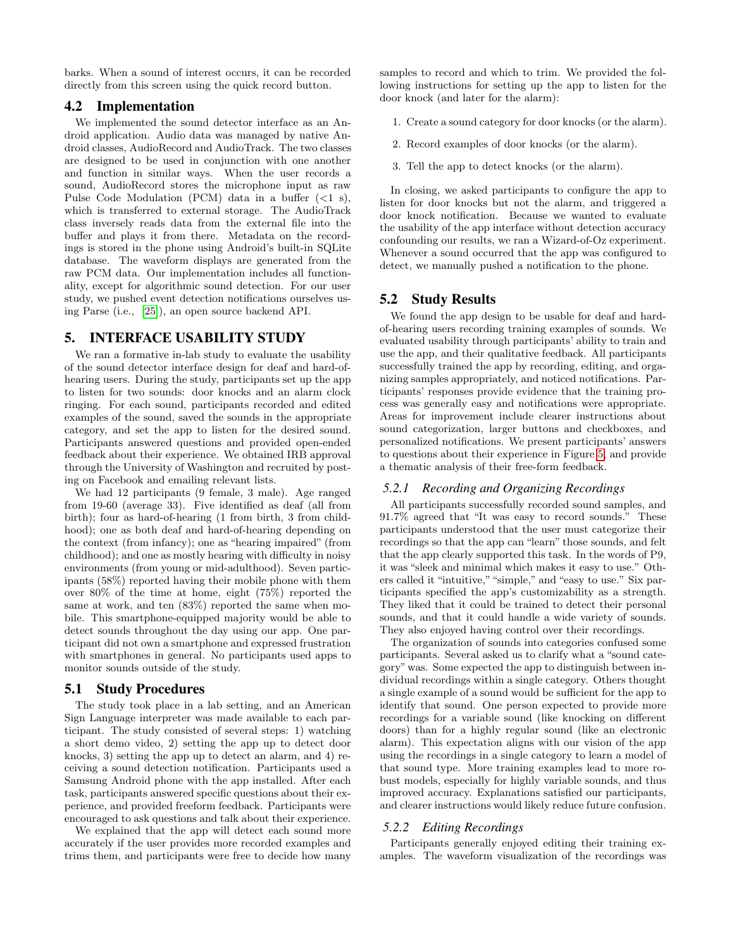barks. When a sound of interest occurs, it can be recorded directly from this screen using the quick record button.

#### 4.2 Implementation

We implemented the sound detector interface as an Android application. Audio data was managed by native Android classes, AudioRecord and AudioTrack. The two classes are designed to be used in conjunction with one another and function in similar ways. When the user records a sound, AudioRecord stores the microphone input as raw Pulse Code Modulation (PCM) data in a buffer  $(<1 s)$ , which is transferred to external storage. The AudioTrack class inversely reads data from the external file into the buffer and plays it from there. Metadata on the recordings is stored in the phone using Android's built-in SQLite database. The waveform displays are generated from the raw PCM data. Our implementation includes all functionality, except for algorithmic sound detection. For our user study, we pushed event detection notifications ourselves using Parse (i.e., [\[25\]](#page-8-30)), an open source backend API.

# 5. INTERFACE USABILITY STUDY

We ran a formative in-lab study to evaluate the usability of the sound detector interface design for deaf and hard-ofhearing users. During the study, participants set up the app to listen for two sounds: door knocks and an alarm clock ringing. For each sound, participants recorded and edited examples of the sound, saved the sounds in the appropriate category, and set the app to listen for the desired sound. Participants answered questions and provided open-ended feedback about their experience. We obtained IRB approval through the University of Washington and recruited by posting on Facebook and emailing relevant lists.

We had 12 participants (9 female, 3 male). Age ranged from 19-60 (average 33). Five identified as deaf (all from birth); four as hard-of-hearing (1 from birth, 3 from childhood); one as both deaf and hard-of-hearing depending on the context (from infancy); one as "hearing impaired" (from childhood); and one as mostly hearing with difficulty in noisy environments (from young or mid-adulthood). Seven participants (58%) reported having their mobile phone with them over 80% of the time at home, eight (75%) reported the same at work, and ten (83%) reported the same when mobile. This smartphone-equipped majority would be able to detect sounds throughout the day using our app. One participant did not own a smartphone and expressed frustration with smartphones in general. No participants used apps to monitor sounds outside of the study.

### 5.1 Study Procedures

The study took place in a lab setting, and an American Sign Language interpreter was made available to each participant. The study consisted of several steps: 1) watching a short demo video, 2) setting the app up to detect door knocks, 3) setting the app up to detect an alarm, and 4) receiving a sound detection notification. Participants used a Samsung Android phone with the app installed. After each task, participants answered specific questions about their experience, and provided freeform feedback. Participants were encouraged to ask questions and talk about their experience.

We explained that the app will detect each sound more accurately if the user provides more recorded examples and trims them, and participants were free to decide how many

samples to record and which to trim. We provided the following instructions for setting up the app to listen for the door knock (and later for the alarm):

- 1. Create a sound category for door knocks (or the alarm).
- 2. Record examples of door knocks (or the alarm).
- 3. Tell the app to detect knocks (or the alarm).

In closing, we asked participants to configure the app to listen for door knocks but not the alarm, and triggered a door knock notification. Because we wanted to evaluate the usability of the app interface without detection accuracy confounding our results, we ran a Wizard-of-Oz experiment. Whenever a sound occurred that the app was configured to detect, we manually pushed a notification to the phone.

### 5.2 Study Results

We found the app design to be usable for deaf and hardof-hearing users recording training examples of sounds. We evaluated usability through participants' ability to train and use the app, and their qualitative feedback. All participants successfully trained the app by recording, editing, and organizing samples appropriately, and noticed notifications. Participants' responses provide evidence that the training process was generally easy and notifications were appropriate. Areas for improvement include clearer instructions about sound categorization, larger buttons and checkboxes, and personalized notifications. We present participants' answers to questions about their experience in Figure [5,](#page-6-0) and provide a thematic analysis of their free-form feedback.

# *5.2.1 Recording and Organizing Recordings*

All participants successfully recorded sound samples, and 91.7% agreed that "It was easy to record sounds." These participants understood that the user must categorize their recordings so that the app can "learn" those sounds, and felt that the app clearly supported this task. In the words of P9, it was "sleek and minimal which makes it easy to use." Others called it "intuitive,""simple," and "easy to use." Six participants specified the app's customizability as a strength. They liked that it could be trained to detect their personal sounds, and that it could handle a wide variety of sounds. They also enjoyed having control over their recordings.

The organization of sounds into categories confused some participants. Several asked us to clarify what a "sound category"was. Some expected the app to distinguish between individual recordings within a single category. Others thought a single example of a sound would be sufficient for the app to identify that sound. One person expected to provide more recordings for a variable sound (like knocking on different doors) than for a highly regular sound (like an electronic alarm). This expectation aligns with our vision of the app using the recordings in a single category to learn a model of that sound type. More training examples lead to more robust models, especially for highly variable sounds, and thus improved accuracy. Explanations satisfied our participants, and clearer instructions would likely reduce future confusion.

### *5.2.2 Editing Recordings*

Participants generally enjoyed editing their training examples. The waveform visualization of the recordings was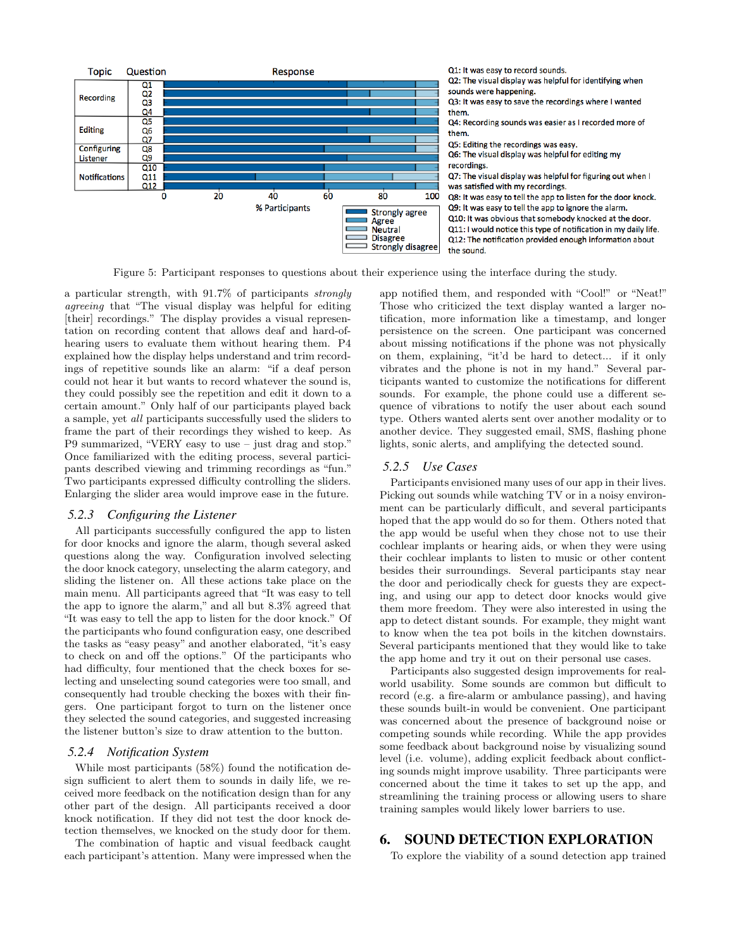<span id="page-6-0"></span>

Figure 5: Participant responses to questions about their experience using the interface during the study.

a particular strength, with 91.7% of participants strongly agreeing that "The visual display was helpful for editing [their] recordings." The display provides a visual representation on recording content that allows deaf and hard-ofhearing users to evaluate them without hearing them. P4 explained how the display helps understand and trim recordings of repetitive sounds like an alarm: "if a deaf person could not hear it but wants to record whatever the sound is, they could possibly see the repetition and edit it down to a certain amount." Only half of our participants played back a sample, yet all participants successfully used the sliders to frame the part of their recordings they wished to keep. As P9 summarized, "VERY easy to use – just drag and stop." Once familiarized with the editing process, several participants described viewing and trimming recordings as "fun." Two participants expressed difficulty controlling the sliders. Enlarging the slider area would improve ease in the future.

#### *5.2.3 Configuring the Listener*

All participants successfully configured the app to listen for door knocks and ignore the alarm, though several asked questions along the way. Configuration involved selecting the door knock category, unselecting the alarm category, and sliding the listener on. All these actions take place on the main menu. All participants agreed that "It was easy to tell the app to ignore the alarm," and all but 8.3% agreed that "It was easy to tell the app to listen for the door knock." Of the participants who found configuration easy, one described the tasks as "easy peasy" and another elaborated, "it's easy to check on and off the options." Of the participants who had difficulty, four mentioned that the check boxes for selecting and unselecting sound categories were too small, and consequently had trouble checking the boxes with their fingers. One participant forgot to turn on the listener once they selected the sound categories, and suggested increasing the listener button's size to draw attention to the button.

#### *5.2.4 Notification System*

While most participants (58%) found the notification design sufficient to alert them to sounds in daily life, we received more feedback on the notification design than for any other part of the design. All participants received a door knock notification. If they did not test the door knock detection themselves, we knocked on the study door for them.

The combination of haptic and visual feedback caught each participant's attention. Many were impressed when the app notified them, and responded with "Cool!" or "Neat!" Those who criticized the text display wanted a larger notification, more information like a timestamp, and longer persistence on the screen. One participant was concerned about missing notifications if the phone was not physically on them, explaining, "it'd be hard to detect... if it only vibrates and the phone is not in my hand." Several participants wanted to customize the notifications for different sounds. For example, the phone could use a different sequence of vibrations to notify the user about each sound type. Others wanted alerts sent over another modality or to another device. They suggested email, SMS, flashing phone lights, sonic alerts, and amplifying the detected sound.

#### *5.2.5 Use Cases*

Participants envisioned many uses of our app in their lives. Picking out sounds while watching TV or in a noisy environment can be particularly difficult, and several participants hoped that the app would do so for them. Others noted that the app would be useful when they chose not to use their cochlear implants or hearing aids, or when they were using their cochlear implants to listen to music or other content besides their surroundings. Several participants stay near the door and periodically check for guests they are expecting, and using our app to detect door knocks would give them more freedom. They were also interested in using the app to detect distant sounds. For example, they might want to know when the tea pot boils in the kitchen downstairs. Several participants mentioned that they would like to take the app home and try it out on their personal use cases.

Participants also suggested design improvements for realworld usability. Some sounds are common but difficult to record (e.g. a fire-alarm or ambulance passing), and having these sounds built-in would be convenient. One participant was concerned about the presence of background noise or competing sounds while recording. While the app provides some feedback about background noise by visualizing sound level (i.e. volume), adding explicit feedback about conflicting sounds might improve usability. Three participants were concerned about the time it takes to set up the app, and streamlining the training process or allowing users to share training samples would likely lower barriers to use.

# 6. SOUND DETECTION EXPLORATION

To explore the viability of a sound detection app trained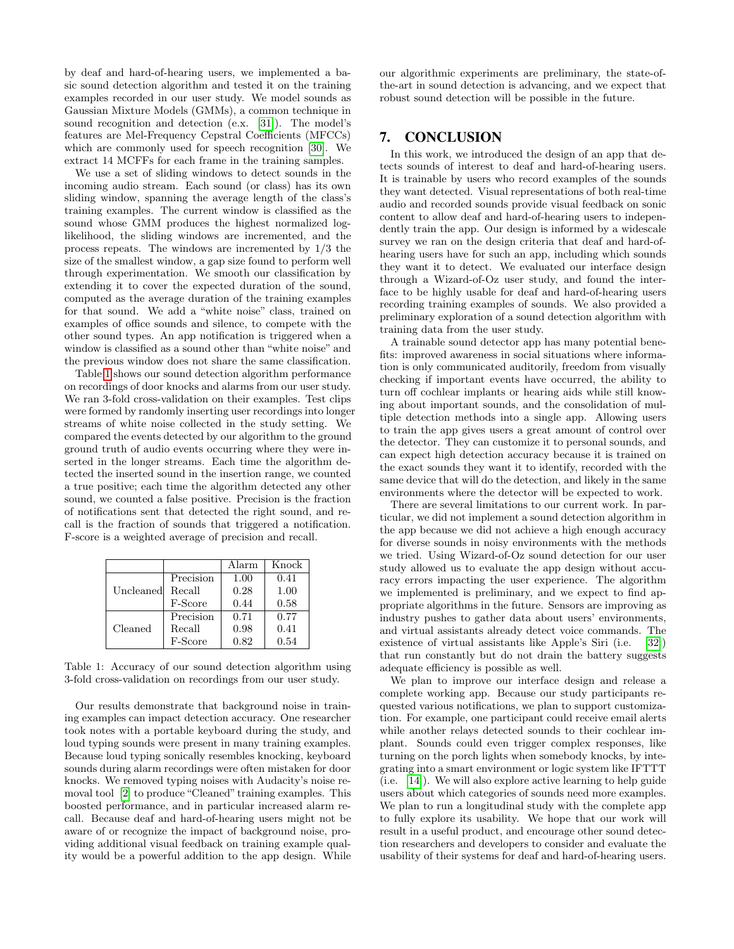by deaf and hard-of-hearing users, we implemented a basic sound detection algorithm and tested it on the training examples recorded in our user study. We model sounds as Gaussian Mixture Models (GMMs), a common technique in sound recognition and detection (e.x. [\[31\]](#page-8-22)). The model's features are Mel-Frequency Cepstral Coefficients (MFCCs) which are commonly used for speech recognition [\[30\]](#page-8-18). We extract 14 MCFFs for each frame in the training samples.

We use a set of sliding windows to detect sounds in the incoming audio stream. Each sound (or class) has its own sliding window, spanning the average length of the class's training examples. The current window is classified as the sound whose GMM produces the highest normalized loglikelihood, the sliding windows are incremented, and the process repeats. The windows are incremented by 1/3 the size of the smallest window, a gap size found to perform well through experimentation. We smooth our classification by extending it to cover the expected duration of the sound, computed as the average duration of the training examples for that sound. We add a "white noise" class, trained on examples of office sounds and silence, to compete with the other sound types. An app notification is triggered when a window is classified as a sound other than "white noise" and the previous window does not share the same classification.

Table [1](#page-7-0) shows our sound detection algorithm performance on recordings of door knocks and alarms from our user study. We ran 3-fold cross-validation on their examples. Test clips were formed by randomly inserting user recordings into longer streams of white noise collected in the study setting. We compared the events detected by our algorithm to the ground ground truth of audio events occurring where they were inserted in the longer streams. Each time the algorithm detected the inserted sound in the insertion range, we counted a true positive; each time the algorithm detected any other sound, we counted a false positive. Precision is the fraction of notifications sent that detected the right sound, and recall is the fraction of sounds that triggered a notification. F-score is a weighted average of precision and recall.

<span id="page-7-0"></span>

|           |           | Alarm | Knock |
|-----------|-----------|-------|-------|
|           | Precision | 1.00  | 0.41  |
| Uncleaned | Recall    | 0.28  | 1.00  |
|           | F-Score   | 0.44  | 0.58  |
|           | Precision | 0.71  | 0.77  |
| Cleaned   | Recall    | 0.98  | 0.41  |
|           | F-Score   | 0.82  | 0.54  |

Table 1: Accuracy of our sound detection algorithm using 3-fold cross-validation on recordings from our user study.

Our results demonstrate that background noise in training examples can impact detection accuracy. One researcher took notes with a portable keyboard during the study, and loud typing sounds were present in many training examples. Because loud typing sonically resembles knocking, keyboard sounds during alarm recordings were often mistaken for door knocks. We removed typing noises with Audacity's noise removal tool [\[2\]](#page-8-31) to produce "Cleaned" training examples. This boosted performance, and in particular increased alarm recall. Because deaf and hard-of-hearing users might not be aware of or recognize the impact of background noise, providing additional visual feedback on training example quality would be a powerful addition to the app design. While our algorithmic experiments are preliminary, the state-ofthe-art in sound detection is advancing, and we expect that robust sound detection will be possible in the future.

# 7. CONCLUSION

In this work, we introduced the design of an app that detects sounds of interest to deaf and hard-of-hearing users. It is trainable by users who record examples of the sounds they want detected. Visual representations of both real-time audio and recorded sounds provide visual feedback on sonic content to allow deaf and hard-of-hearing users to independently train the app. Our design is informed by a widescale survey we ran on the design criteria that deaf and hard-ofhearing users have for such an app, including which sounds they want it to detect. We evaluated our interface design through a Wizard-of-Oz user study, and found the interface to be highly usable for deaf and hard-of-hearing users recording training examples of sounds. We also provided a preliminary exploration of a sound detection algorithm with training data from the user study.

A trainable sound detector app has many potential benefits: improved awareness in social situations where information is only communicated auditorily, freedom from visually checking if important events have occurred, the ability to turn off cochlear implants or hearing aids while still knowing about important sounds, and the consolidation of multiple detection methods into a single app. Allowing users to train the app gives users a great amount of control over the detector. They can customize it to personal sounds, and can expect high detection accuracy because it is trained on the exact sounds they want it to identify, recorded with the same device that will do the detection, and likely in the same environments where the detector will be expected to work.

There are several limitations to our current work. In particular, we did not implement a sound detection algorithm in the app because we did not achieve a high enough accuracy for diverse sounds in noisy environments with the methods we tried. Using Wizard-of-Oz sound detection for our user study allowed us to evaluate the app design without accuracy errors impacting the user experience. The algorithm we implemented is preliminary, and we expect to find appropriate algorithms in the future. Sensors are improving as industry pushes to gather data about users' environments, and virtual assistants already detect voice commands. The existence of virtual assistants like Apple's Siri (i.e. [\[32\]](#page-8-32)) that run constantly but do not drain the battery suggests adequate efficiency is possible as well.

We plan to improve our interface design and release a complete working app. Because our study participants requested various notifications, we plan to support customization. For example, one participant could receive email alerts while another relays detected sounds to their cochlear implant. Sounds could even trigger complex responses, like turning on the porch lights when somebody knocks, by integrating into a smart environment or logic system like IFTTT (i.e. [\[14\]](#page-8-33)). We will also explore active learning to help guide users about which categories of sounds need more examples. We plan to run a longitudinal study with the complete app to fully explore its usability. We hope that our work will result in a useful product, and encourage other sound detection researchers and developers to consider and evaluate the usability of their systems for deaf and hard-of-hearing users.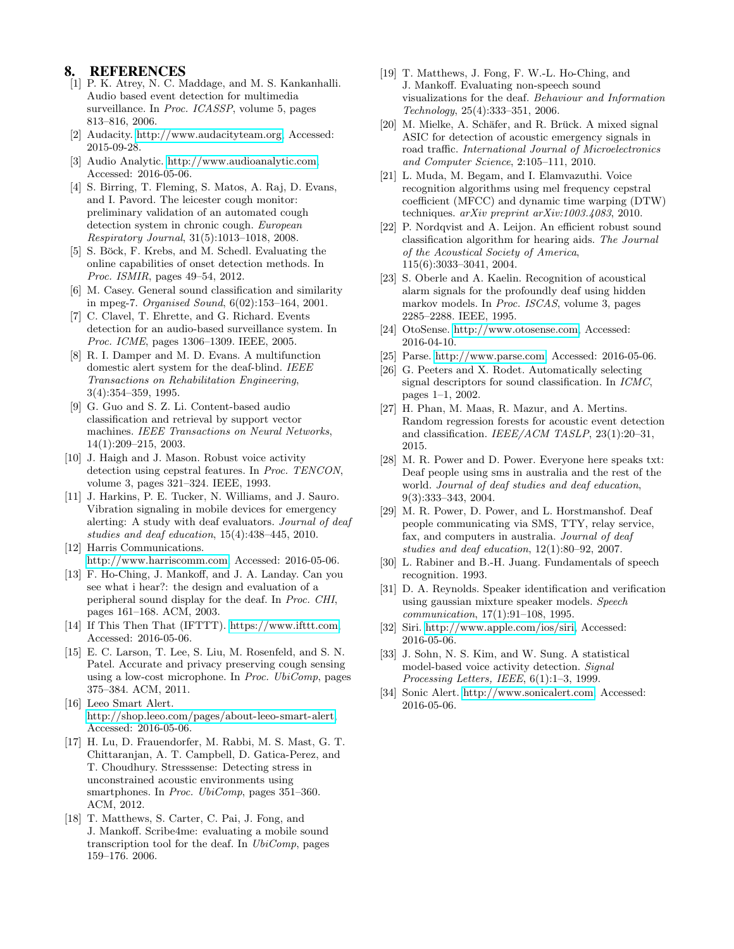# 8. REFERENCES

- <span id="page-8-23"></span>[1] P. K. Atrey, N. C. Maddage, and M. S. Kankanhalli. Audio based event detection for multimedia surveillance. In Proc. ICASSP, volume 5, pages 813–816, 2006.
- <span id="page-8-31"></span>[2] Audacity. [http://www.audacityteam.org,](http://www.audacityteam.org) Accessed: 2015-09-28.
- <span id="page-8-6"></span>[3] Audio Analytic. [http://www.audioanalytic.com,](http://www.audioanalytic.com) Accessed: 2016-05-06.
- <span id="page-8-14"></span>[4] S. Birring, T. Fleming, S. Matos, A. Raj, D. Evans, and I. Pavord. The leicester cough monitor: preliminary validation of an automated cough detection system in chronic cough. European Respiratory Journal, 31(5):1013–1018, 2008.
- <span id="page-8-29"></span>[5] S. Böck, F. Krebs, and M. Schedl. Evaluating the online capabilities of onset detection methods. In Proc. ISMIR, pages 49–54, 2012.
- <span id="page-8-21"></span>[6] M. Casey. General sound classification and similarity in mpeg-7. Organised Sound, 6(02):153–164, 2001.
- <span id="page-8-25"></span>[7] C. Clavel, T. Ehrette, and G. Richard. Events detection for an audio-based surveillance system. In Proc. ICME, pages 1306–1309. IEEE, 2005.
- <span id="page-8-8"></span>[8] R. I. Damper and M. D. Evans. A multifunction domestic alert system for the deaf-blind. IEEE Transactions on Rehabilitation Engineering, 3(4):354–359, 1995.
- <span id="page-8-24"></span>[9] G. Guo and S. Z. Li. Content-based audio classification and retrieval by support vector machines. IEEE Transactions on Neural Networks, 14(1):209–215, 2003.
- <span id="page-8-16"></span>[10] J. Haigh and J. Mason. Robust voice activity detection using cepstral features. In Proc. TENCON, volume 3, pages 321–324. IEEE, 1993.
- <span id="page-8-2"></span>[11] J. Harkins, P. E. Tucker, N. Williams, and J. Sauro. Vibration signaling in mobile devices for emergency alerting: A study with deaf evaluators. Journal of deaf studies and deaf education, 15(4):438–445, 2010.
- <span id="page-8-3"></span>[12] Harris Communications. [http://www.harriscomm.com,](http://www.harriscomm.com) Accessed: 2016-05-06.
- <span id="page-8-11"></span>[13] F. Ho-Ching, J. Mankoff, and J. A. Landay. Can you see what i hear?: the design and evaluation of a peripheral sound display for the deaf. In Proc. CHI, pages 161–168. ACM, 2003.
- <span id="page-8-33"></span>[14] If This Then That (IFTTT). [https://www.ifttt.com,](https://www.ifttt.com) Accessed: 2016-05-06.
- <span id="page-8-15"></span>[15] E. C. Larson, T. Lee, S. Liu, M. Rosenfeld, and S. N. Patel. Accurate and privacy preserving cough sensing using a low-cost microphone. In Proc. UbiComp, pages 375–384. ACM, 2011.
- <span id="page-8-5"></span>[16] Leeo Smart Alert. [http://shop.leeo.com/pages/about-leeo-smart-alert,](http://shop.leeo.com/pages/about-leeo-smart-alert) Accessed: 2016-05-06.
- <span id="page-8-13"></span>[17] H. Lu, D. Frauendorfer, M. Rabbi, M. S. Mast, G. T. Chittaranjan, A. T. Campbell, D. Gatica-Perez, and T. Choudhury. Stresssense: Detecting stress in unconstrained acoustic environments using smartphones. In *Proc. UbiComp*, pages 351–360. ACM, 2012.
- <span id="page-8-10"></span>[18] T. Matthews, S. Carter, C. Pai, J. Fong, and J. Mankoff. Scribe4me: evaluating a mobile sound transcription tool for the deaf. In UbiComp, pages 159–176. 2006.
- <span id="page-8-12"></span>[19] T. Matthews, J. Fong, F. W.-L. Ho-Ching, and J. Mankoff. Evaluating non-speech sound visualizations for the deaf. Behaviour and Information Technology, 25(4):333–351, 2006.
- <span id="page-8-9"></span>[20] M. Mielke, A. Schäfer, and R. Brück. A mixed signal ASIC for detection of acoustic emergency signals in road traffic. International Journal of Microelectronics and Computer Science, 2:105–111, 2010.
- <span id="page-8-19"></span>[21] L. Muda, M. Begam, and I. Elamvazuthi. Voice recognition algorithms using mel frequency cepstral coefficient (MFCC) and dynamic time warping (DTW) techniques. arXiv preprint arXiv:1003.4083, 2010.
- <span id="page-8-27"></span>[22] P. Nordqvist and A. Leijon. An efficient robust sound classification algorithm for hearing aids. The Journal of the Acoustical Society of America, 115(6):3033–3041, 2004.
- <span id="page-8-28"></span>[23] S. Oberle and A. Kaelin. Recognition of acoustical alarm signals for the profoundly deaf using hidden markov models. In Proc. ISCAS, volume 3, pages 2285–2288. IEEE, 1995.
- <span id="page-8-7"></span>[24] OtoSense. [http://www.otosense.com,](http://www.otosense.com) Accessed: 2016-04-10.
- <span id="page-8-30"></span>[25] Parse. [http://www.parse.com,](http://www.parse.com) Accessed: 2016-05-06.
- <span id="page-8-20"></span>[26] G. Peeters and X. Rodet. Automatically selecting signal descriptors for sound classification. In ICMC, pages 1–1, 2002.
- <span id="page-8-26"></span>[27] H. Phan, M. Maas, R. Mazur, and A. Mertins. Random regression forests for acoustic event detection and classification. IEEE/ACM TASLP, 23(1):20–31, 2015.
- <span id="page-8-0"></span>[28] M. R. Power and D. Power. Everyone here speaks txt: Deaf people using sms in australia and the rest of the world. Journal of deaf studies and deaf education, 9(3):333–343, 2004.
- <span id="page-8-1"></span>[29] M. R. Power, D. Power, and L. Horstmanshof. Deaf people communicating via SMS, TTY, relay service, fax, and computers in australia. Journal of deaf studies and deaf education, 12(1):80–92, 2007.
- <span id="page-8-18"></span>[30] L. Rabiner and B.-H. Juang. Fundamentals of speech recognition. 1993.
- <span id="page-8-22"></span>[31] D. A. Reynolds. Speaker identification and verification using gaussian mixture speaker models. Speech communication, 17(1):91–108, 1995.
- <span id="page-8-32"></span>[32] Siri. [http://www.apple.com/ios/siri,](http://www.apple.com/ios/siri) Accessed: 2016-05-06.
- <span id="page-8-17"></span>[33] J. Sohn, N. S. Kim, and W. Sung. A statistical model-based voice activity detection. Signal Processing Letters, IEEE, 6(1):1–3, 1999.
- <span id="page-8-4"></span>[34] Sonic Alert. [http://www.sonicalert.com,](http://www.sonicalert.com) Accessed: 2016-05-06.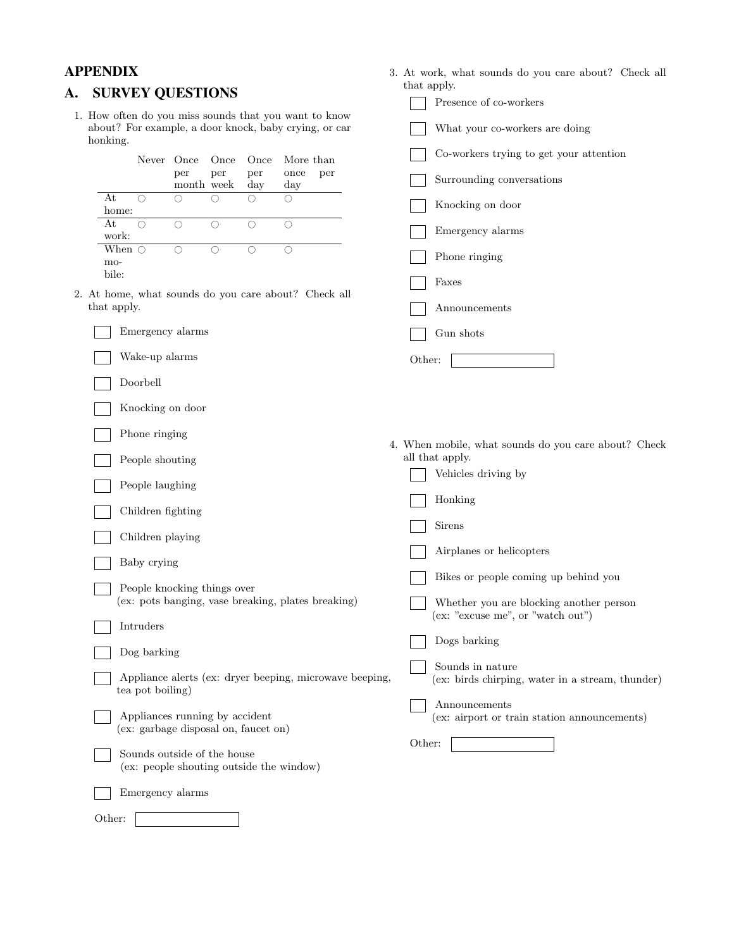bile:

1. How often do you miss sounds that you want to know about? For example, a door knock, baby crying, or car honking.

When  $\bigcirc$   $\bigcirc$   $\bigcirc$   $\bigcirc$   $\bigcirc$   $\bigcirc$ 

Emergency alarms

Wake-up alarms

Knocking on door

Phone ringing

People laughing

Children fighting

Children playing

Baby crying

Intruders

Dog barking

tea pot boiling)

Doorbell

- <span id="page-9-0"></span>**A. SURVEY QUESTIONS** that apply.<br>Presence of co-workers What your co-workers are doing Never Once Once Once More than  $\Box$  Co-workers trying to get your attention per per per once per Surrounding conversations month week day day At  $\circ$   $\circ$   $\circ$   $\circ$   $\circ$ At  $\bigcirc$   $\bigcirc$   $\bigcirc$   $\bigcirc$   $\bigcirc$   $\bigcirc$   $\bigcirc$  Knocking on door home: At 0 0 0 0 0 At O O O O O D Emergency alarms work: When  $\bigcirc$   $\bigcirc$   $\bigcirc$   $\bigcirc$   $\bigcirc$   $\bigcirc$   $\bigcirc$  Phone ringing Phone in  $\bigcirc$ Faxes 2. At home, what sounds do you care about? Check all that apply. Announcements Gun shots Other: 4. When mobile, what sounds do you care about? Check People shouting all that apply. Vehicles driving by Honking Sirens Airplanes or helicopters Bikes or people coming up behind you (ex: pots banging, vase breaking, plates breaking) Whether you are blocking another person (ex: "excuse me", or "watch out") Dogs barking Sounds in nature Appliance alerts (ex: dryer beeping, microwave beeping, ex: birds chirping, water in a stream, thunder) Announcements
	- Appliances running by accident (ex: airport or train station announcements)

Other:

(ex: garbage disposal on, faucet on)

People knocking things over

- Sounds outside of the house (ex: people shouting outside the window)
	- Emergency alarms

Other:

**APPENDIX** 3. At work, what sounds do you care about? Check all